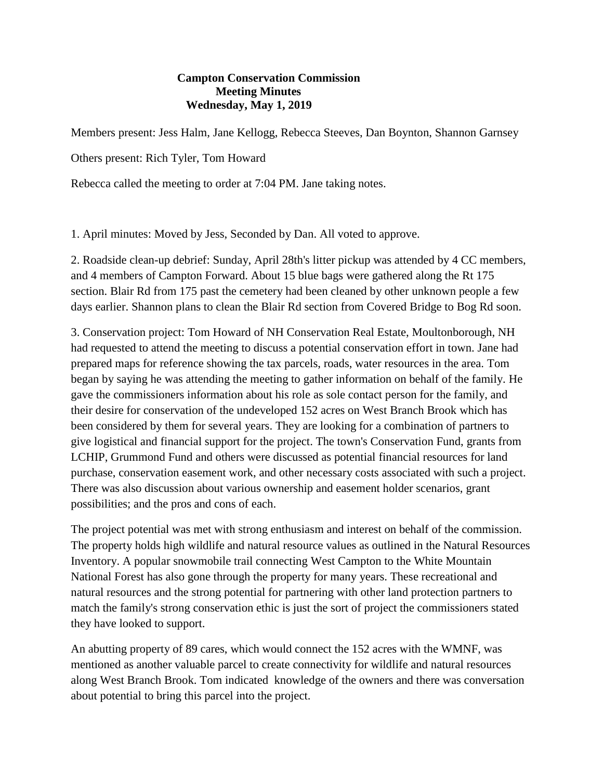## **Campton Conservation Commission Meeting Minutes Wednesday, May 1, 2019**

Members present: Jess Halm, Jane Kellogg, Rebecca Steeves, Dan Boynton, Shannon Garnsey

Others present: Rich Tyler, Tom Howard

Rebecca called the meeting to order at 7:04 PM. Jane taking notes.

1. April minutes: Moved by Jess, Seconded by Dan. All voted to approve.

2. Roadside clean-up debrief: Sunday, April 28th's litter pickup was attended by 4 CC members, and 4 members of Campton Forward. About 15 blue bags were gathered along the Rt 175 section. Blair Rd from 175 past the cemetery had been cleaned by other unknown people a few days earlier. Shannon plans to clean the Blair Rd section from Covered Bridge to Bog Rd soon.

3. Conservation project: Tom Howard of NH Conservation Real Estate, Moultonborough, NH had requested to attend the meeting to discuss a potential conservation effort in town. Jane had prepared maps for reference showing the tax parcels, roads, water resources in the area. Tom began by saying he was attending the meeting to gather information on behalf of the family. He gave the commissioners information about his role as sole contact person for the family, and their desire for conservation of the undeveloped 152 acres on West Branch Brook which has been considered by them for several years. They are looking for a combination of partners to give logistical and financial support for the project. The town's Conservation Fund, grants from LCHIP, Grummond Fund and others were discussed as potential financial resources for land purchase, conservation easement work, and other necessary costs associated with such a project. There was also discussion about various ownership and easement holder scenarios, grant possibilities; and the pros and cons of each.

The project potential was met with strong enthusiasm and interest on behalf of the commission. The property holds high wildlife and natural resource values as outlined in the Natural Resources Inventory. A popular snowmobile trail connecting West Campton to the White Mountain National Forest has also gone through the property for many years. These recreational and natural resources and the strong potential for partnering with other land protection partners to match the family's strong conservation ethic is just the sort of project the commissioners stated they have looked to support.

An abutting property of 89 cares, which would connect the 152 acres with the WMNF, was mentioned as another valuable parcel to create connectivity for wildlife and natural resources along West Branch Brook. Tom indicated knowledge of the owners and there was conversation about potential to bring this parcel into the project.